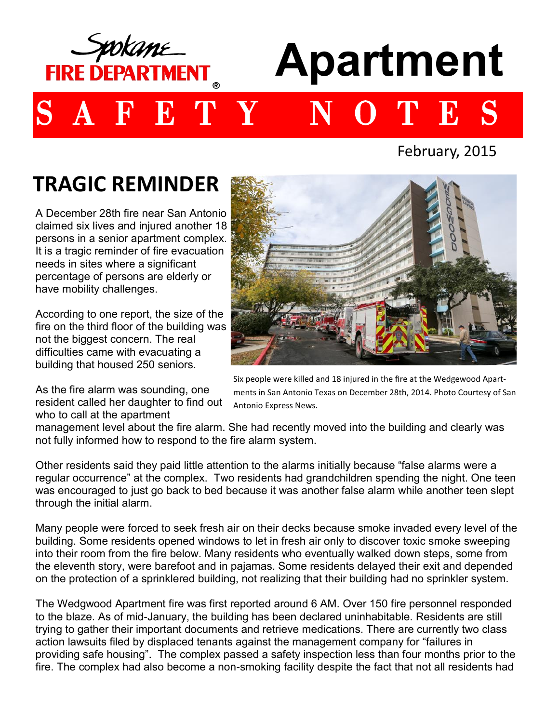

# **Apartment**

## B T

February, 2015

## **TRAGIC REMINDER**

have mobility challenges.<br>
The mobility challenges. A December 28th fire near San Antonio claimed six lives and injured another 18 persons in a senior apartment complex. It is a tragic reminder of fire evacuation needs in sites where a significant percentage of persons are elderly or

According to one report, the size of the fire on the third floor of the building was not the biggest concern. The real difficulties came with evacuating a building that housed 250 seniors.

As the fire alarm was sounding, one resident called her daughter to find out who to call at the apartment



Six people were killed and 18 injured in the fire at the Wedgewood Apartments in San Antonio Texas on December 28th, 2014. Photo Courtesy of San Antonio Express News.

management level about the fire alarm. She had recently moved into the building and clearly was not fully informed how to respond to the fire alarm system.

Other residents said they paid little attention to the alarms initially because "false alarms were a regular occurrence" at the complex. Two residents had grandchildren spending the night. One teen was encouraged to just go back to bed because it was another false alarm while another teen slept through the initial alarm.

Many people were forced to seek fresh air on their decks because smoke invaded every level of the building. Some residents opened windows to let in fresh air only to discover toxic smoke sweeping into their room from the fire below. Many residents who eventually walked down steps, some from the eleventh story, were barefoot and in pajamas. Some residents delayed their exit and depended on the protection of a sprinklered building, not realizing that their building had no sprinkler system.

The Wedgwood Apartment fire was first reported around 6 AM. Over 150 fire personnel responded to the blaze. As of mid-January, the building has been declared uninhabitable. Residents are still trying to gather their important documents and retrieve medications. There are currently two class action lawsuits filed by displaced tenants against the management company for "failures in providing safe housing". The complex passed a safety inspection less than four months prior to the fire. The complex had also become a non-smoking facility despite the fact that not all residents had